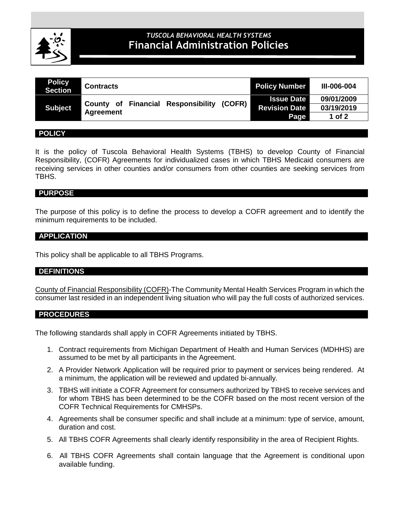

# **CLINICAL POLICIES** *TUSCOLA BEHAVIORAL HEALTH SYSTEMS* **Financial Administration Policies**

| <b>Policy</b><br><b>Section</b> | <b>Contracts</b>                                           | <b>Policy Number</b> | III-006-004 |
|---------------------------------|------------------------------------------------------------|----------------------|-------------|
| <b>Subject</b>                  | <b>Responsibility (COFR)</b><br><b>County of Financial</b> | <b>Issue Date</b>    | 09/01/2009  |
|                                 | <b>Agreement</b>                                           | <b>Revision Date</b> | 03/19/2019  |
|                                 |                                                            | Page                 | $1$ of $2$  |

#### **POLICY**

It is the policy of Tuscola Behavioral Health Systems (TBHS) to develop County of Financial Responsibility, (COFR) Agreements for individualized cases in which TBHS Medicaid consumers are receiving services in other counties and/or consumers from other counties are seeking services from TBHS.

#### **PURPOSE**

The purpose of this policy is to define the process to develop a COFR agreement and to identify the minimum requirements to be included.

#### **APPLICATION**

This policy shall be applicable to all TBHS Programs.

#### **DEFINITIONS**

County of Financial Responsibility (COFR)-The Community Mental Health Services Program in which the consumer last resided in an independent living situation who will pay the full costs of authorized services.

#### **PROCEDURES**

The following standards shall apply in COFR Agreements initiated by TBHS.

- 1. Contract requirements from Michigan Department of Health and Human Services (MDHHS) are assumed to be met by all participants in the Agreement.
- 2. A Provider Network Application will be required prior to payment or services being rendered. At a minimum, the application will be reviewed and updated bi-annually.
- 3. TBHS will initiate a COFR Agreement for consumers authorized by TBHS to receive services and for whom TBHS has been determined to be the COFR based on the most recent version of the COFR Technical Requirements for CMHSPs.
- 4. Agreements shall be consumer specific and shall include at a minimum: type of service, amount, duration and cost.
- 5. All TBHS COFR Agreements shall clearly identify responsibility in the area of Recipient Rights.
- 6. All TBHS COFR Agreements shall contain language that the Agreement is conditional upon available funding.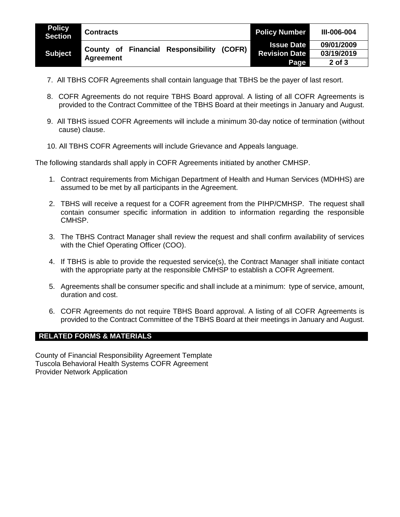| <b>Policy</b><br><b>Section</b> | <b>Contracts</b>                             | <b>Policy Number</b> | <b>III-006-004</b> |
|---------------------------------|----------------------------------------------|----------------------|--------------------|
| Subject <sup>1</sup>            | (COFR)<br>Financial<br><b>Responsibility</b> | <b>Issue Date</b>    | 09/01/2009         |
|                                 | County of<br>Agreement                       | <b>Revision Date</b> | 03/19/2019         |
|                                 |                                              | Page                 | $2$ of $3$         |

- 7. All TBHS COFR Agreements shall contain language that TBHS be the payer of last resort.
- 8. COFR Agreements do not require TBHS Board approval. A listing of all COFR Agreements is provided to the Contract Committee of the TBHS Board at their meetings in January and August.
- 9. All TBHS issued COFR Agreements will include a minimum 30-day notice of termination (without cause) clause.
- 10. All TBHS COFR Agreements will include Grievance and Appeals language.

The following standards shall apply in COFR Agreements initiated by another CMHSP.

- 1. Contract requirements from Michigan Department of Health and Human Services (MDHHS) are assumed to be met by all participants in the Agreement.
- 2. TBHS will receive a request for a COFR agreement from the PIHP/CMHSP. The request shall contain consumer specific information in addition to information regarding the responsible CMHSP.
- 3. The TBHS Contract Manager shall review the request and shall confirm availability of services with the Chief Operating Officer (COO).
- 4. If TBHS is able to provide the requested service(s), the Contract Manager shall initiate contact with the appropriate party at the responsible CMHSP to establish a COFR Agreement.
- 5. Agreements shall be consumer specific and shall include at a minimum: type of service, amount, duration and cost.
- 6. COFR Agreements do not require TBHS Board approval. A listing of all COFR Agreements is provided to the Contract Committee of the TBHS Board at their meetings in January and August.

### **RELATED FORMS & MATERIALS**

County of Financial Responsibility Agreement Template Tuscola Behavioral Health Systems COFR Agreement Provider Network Application